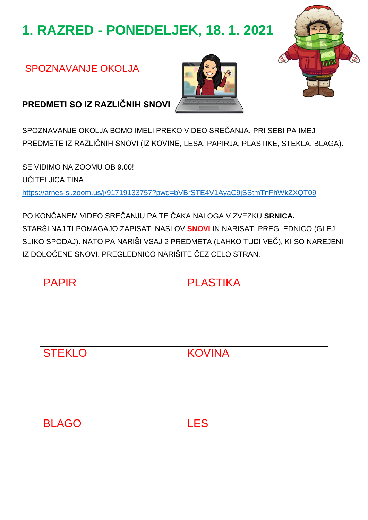# 1. RAZRED - PONEDELJEK, 18. 1. 2021

### SPOZNAVANJE OKOLJA





PREDMETI SO IZ RAZLIČNIH SNOVI

SPOZNAVANJE OKOLJA BOMO IMELI PREKO VIDEO SREČANJA. PRI SEBI PA IMEJ PREDMETE IZ RAZLIČNIH SNOVI (IZ KOVINE, LESA, PAPIRJA, PLASTIKE, STEKLA, BLAGA).

SE VIDIMO NA ZOOMU OB 9.00! **UČITEI JICA TINA** https://arnes-si.zoom.us/j/91719133757?pwd=bVBrSTE4V1AyaC9jSStmTnFhWkZXQT09

PO KONČANEM VIDEO SREČANJU PA TE ČAKA NALOGA V ZVEZKU SRNICA. STARŠI NAJ TI POMAGAJO ZAPISATI NASLOV SNOVI IN NARISATI PREGLEDNICO (GLEJ SLIKO SPODAJ). NATO PA NARIŠI VSAJ 2 PREDMETA (LAHKO TUDI VEČ), KI SO NAREJENI IZ DOLOČENE SNOVI. PREGLEDNICO NARIŠITE ČEZ CELO STRAN.

| <b>PAPIR</b>  | <b>PLASTIKA</b> |
|---------------|-----------------|
| <b>STEKLO</b> | <b>KOVINA</b>   |
| <b>BLAGO</b>  | <b>LES</b>      |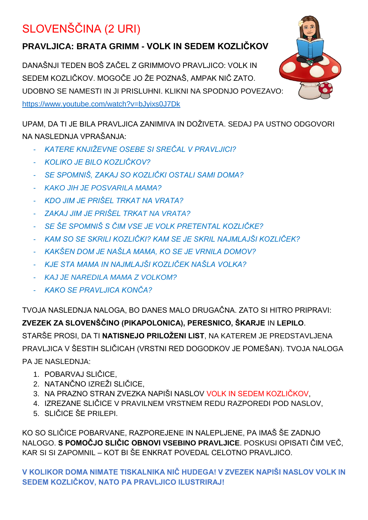# SLOVENŠČINA (2 URI)

### **PRAVLJICA: BRATA GRIMM - VOLK IN SEDEM KOZLIČKOV**

DANAŠNJI TEDEN BOŠ ZAČEL Z GRIMMOVO PRAVLJICO: VOLK IN SEDEM KOZLIČKOV. MOGOČE JO ŽE POZNAŠ, AMPAK NIČ ZATO. UDOBNO SE NAMESTI IN JI PRISLUHNI. KLIKNI NA SPODNJO POVEZAVO: <https://www.youtube.com/watch?v=bJyixs0J7Dk>

UPAM, DA TI JE BILA PRAVLJICA ZANIMIVA IN DOŽIVETA. SEDAJ PA USTNO ODGOVORI NA NASLEDNJA VPRAŠANJA:

- *KATERE KNJIŽEVNE OSEBE SI SREČAL V PRAVLJICI?*
- *KOLIKO JE BILO KOZLIČKOV?*
- *SE SPOMNIŠ, ZAKAJ SO KOZLIČKI OSTALI SAMI DOMA?*
- *KAKO JIH JE POSVARILA MAMA?*
- *KDO JIM JE PRIŠEL TRKAT NA VRATA?*
- *ZAKAJ JIM JE PRIŠEL TRKAT NA VRATA?*
- *SE ŠE SPOMNIŠ S ČIM VSE JE VOLK PRETENTAL KOZLIČKE?*
- *KAM SO SE SKRILI KOZLIČKI? KAM SE JE SKRIL NAJMLAJŠI KOZLIČEK?*
- *KAKŠEN DOM JE NAŠLA MAMA, KO SE JE VRNILA DOMOV?*
- *KJE STA MAMA IN NAJMLAJŠI KOZLIČEK NAŠLA VOLKA?*
- *KAJ JE NAREDILA MAMA Z VOLKOM?*
- *KAKO SE PRAVLJICA KONČA?*

TVOJA NASLEDNJA NALOGA, BO DANES MALO DRUGAČNA. ZATO SI HITRO PRIPRAVI: **ZVEZEK ZA SLOVENŠČINO (PIKAPOLONICA), PERESNICO, ŠKARJE** IN **LEPILO**. STARŠE PROSI, DA TI **NATISNEJO PRILOŽENI LIST**, NA KATEREM JE PREDSTAVLJENA PRAVLJICA V ŠESTIH SLIČICAH (VRSTNI RED DOGODKOV JE POMEŠAN). TVOJA NALOGA PA JE NASLEDNJA:

- 1. POBARVAJ SLIČICE,
- 2. NATANČNO IZREŽI SLIČICE,
- 3. NA PRAZNO STRAN ZVEZKA NAPIŠI NASLOV VOLK IN SEDEM KOZLIČKOV,
- 4. IZREZANE SLIČICE V PRAVILNEM VRSTNEM REDU RAZPOREDI POD NASLOV,
- 5. SLIČICE ŠE PRILEPI.

KO SO SLIČICE POBARVANE, RAZPOREJENE IN NALEPLJENE, PA IMAŠ ŠE ZADNJO NALOGO. **S POMOČJO SLIČIC OBNOVI VSEBINO PRAVLJICE**. POSKUSI OPISATI ČIM VEČ, KAR SI SI ZAPOMNIL – KOT BI ŠE ENKRAT POVEDAL CELOTNO PRAVLJICO.

**V KOLIKOR DOMA NIMATE TISKALNIKA NIČ HUDEGA! V ZVEZEK NAPIŠI NASLOV VOLK IN SEDEM KOZLIČKOV, NATO PA PRAVLJICO ILUSTRIRAJ!**

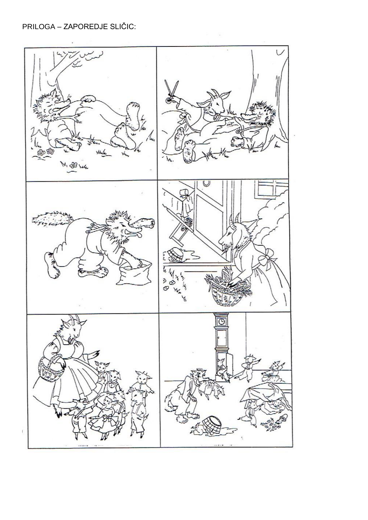#### PRILOGA - ZAPOREDJE SLIČIC:

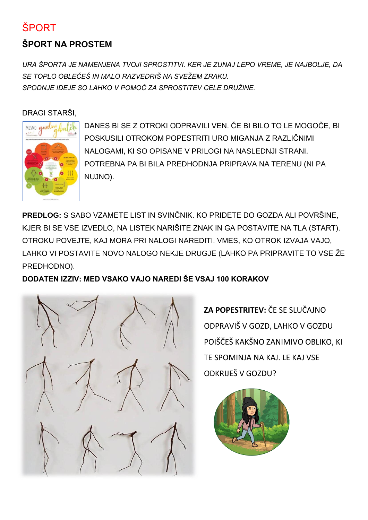# ŠPORT

## **ŠPORT NA PROSTEM**

*URA ŠPORTA JE NAMENJENA TVOJI SPROSTITVI. KER JE ZUNAJ LEPO VREME, JE NAJBOLJE, DA SE TOPLO OBLEČEŠ IN MALO RAZVEDRIŠ NA SVEŽEM ZRAKU. SPODNJE IDEJE SO LAHKO V POMOČ ZA SPROSTITEV CELE DRUŽINE.*

#### DRAGI STARŠI,



DANES BI SE Z OTROKI ODPRAVILI VEN. ČE BI BILO TO LE MOGOČE, BI POSKUSILI OTROKOM POPESTRITI URO MIGANJA Z RAZLIČNIMI NALOGAMI, KI SO OPISANE V PRILOGI NA NASLEDNJI STRANI. POTREBNA PA BI BILA PREDHODNJA PRIPRAVA NA TERENU (NI PA NUJNO).

**PREDLOG:** S SABO VZAMETE LIST IN SVINČNIK. KO PRIDETE DO GOZDA ALI POVRŠINE, KJER BI SE VSE IZVEDLO, NA LISTEK NARIŠITE ZNAK IN GA POSTAVITE NA TLA (START). OTROKU POVEJTE, KAJ MORA PRI NALOGI NAREDITI. VMES, KO OTROK IZVAJA VAJO, LAHKO VI POSTAVITE NOVO NALOGO NEKJE DRUGJE (LAHKO PA PRIPRAVITE TO VSE ŽE PREDHODNO).

**DODATEN IZZIV: MED VSAKO VAJO NAREDI ŠE VSAJ 100 KORAKOV**



**ZA POPESTRITEV:** ČE SE SLUČAJNO ODPRAVIŠ V GOZD, LAHKO V GOZDU POIŠČEŠ KAKŠNO ZANIMIVO OBLIKO, KI TE SPOMINJA NA KAJ. LE KAJ VSE ODKRIJEŠ V GOZDU?